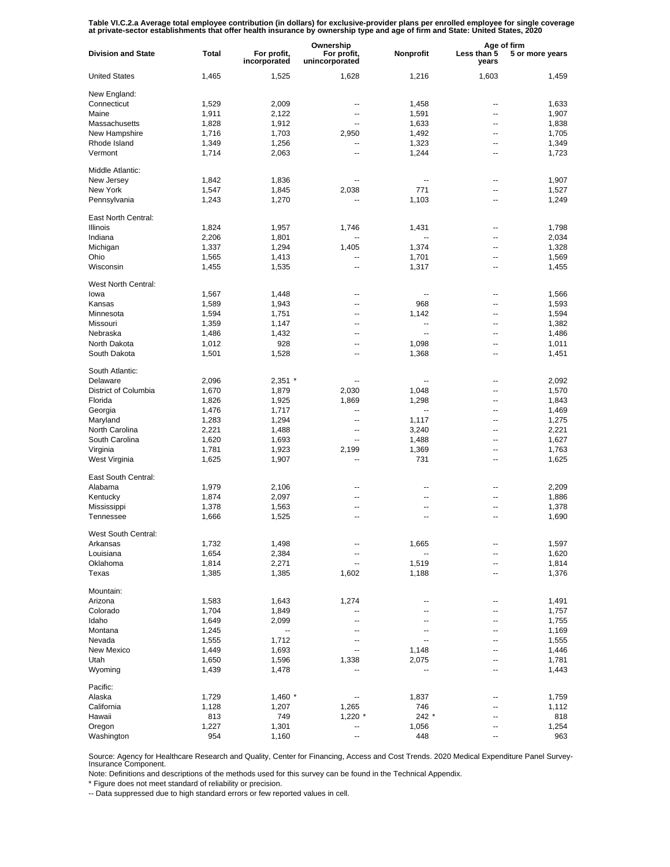Table VI.C.2.a Average total employee contribution (in dollars) for exclusive-provider plans per enrolled employee for single coverage<br>at private-sector establishments that offer health insurance by ownership type and age

|                           |       |                             | Ownership                     |                          | Age of firm          |                 |
|---------------------------|-------|-----------------------------|-------------------------------|--------------------------|----------------------|-----------------|
| <b>Division and State</b> | Total | For profit,<br>incorporated | For profit,<br>unincorporated | Nonprofit                | Less than 5<br>years | 5 or more years |
| <b>United States</b>      | 1,465 | 1,525                       | 1,628                         | 1,216                    | 1,603                | 1,459           |
| New England:              |       |                             |                               |                          |                      |                 |
| Connecticut               | 1,529 | 2,009                       | --                            | 1,458                    | --                   | 1,633           |
| Maine                     | 1,911 | 2,122                       | --                            | 1,591                    | --                   | 1,907           |
| Massachusetts             | 1,828 | 1,912                       | $\overline{a}$                | 1,633                    | --                   | 1,838           |
| New Hampshire             | 1,716 | 1,703                       | 2,950                         | 1,492                    | --                   | 1,705           |
| Rhode Island              | 1,349 | 1,256                       |                               | 1,323                    | ۵.                   | 1,349           |
| Vermont                   | 1,714 | 2,063                       | ц,                            | 1,244                    | --                   | 1,723           |
| Middle Atlantic:          |       |                             |                               |                          |                      |                 |
|                           |       |                             |                               |                          |                      |                 |
| New Jersey                | 1,842 | 1,836                       |                               | $\overline{\phantom{a}}$ | --                   | 1,907           |
| New York                  | 1,547 | 1,845                       | 2,038                         | 771                      | --                   | 1,527           |
| Pennsylvania              | 1,243 | 1,270                       |                               | 1,103                    | --                   | 1,249           |
| East North Central:       |       |                             |                               |                          |                      |                 |
| <b>Illinois</b>           | 1,824 | 1,957                       | 1,746                         | 1,431                    | --                   | 1,798           |
| Indiana                   | 2,206 | 1,801                       | $\overline{a}$                | $\overline{a}$           | --                   | 2,034           |
| Michigan                  | 1,337 | 1,294                       | 1,405                         | 1,374                    | --                   | 1,328           |
| Ohio                      | 1,565 | 1,413                       | --                            | 1,701                    | --                   | 1,569           |
| Wisconsin                 | 1,455 | 1,535                       | --                            | 1,317                    | --                   | 1,455           |
| West North Central:       |       |                             |                               |                          |                      |                 |
| lowa                      | 1,567 | 1,448                       | --                            | --                       | --                   | 1,566           |
| Kansas                    |       | 1,943                       | --                            | 968                      | --                   | 1,593           |
|                           | 1,589 |                             |                               |                          |                      |                 |
| Minnesota                 | 1,594 | 1,751                       | --                            | 1,142                    | --                   | 1,594           |
| Missouri                  | 1,359 | 1,147                       | --                            | $\overline{\phantom{a}}$ | --                   | 1,382           |
| Nebraska                  | 1,486 | 1,432                       | --                            | $\overline{\phantom{a}}$ | ۵.                   | 1,486           |
| North Dakota              | 1,012 | 928                         | --                            | 1,098                    | --                   | 1,011           |
| South Dakota              | 1,501 | 1,528                       | --                            | 1,368                    | ۵.                   | 1,451           |
| South Atlantic:           |       |                             |                               |                          |                      |                 |
| Delaware                  | 2,096 | $2,351$ *                   | --                            | $\overline{\phantom{a}}$ | --                   | 2,092           |
| District of Columbia      | 1,670 | 1,879                       | 2,030                         | 1,048                    | --                   | 1,570           |
| Florida                   | 1,826 | 1,925                       | 1,869                         | 1,298                    | --                   | 1,843           |
| Georgia                   | 1,476 | 1,717                       | $\overline{\phantom{a}}$      | $\overline{\phantom{a}}$ | --                   | 1,469           |
| Maryland                  | 1,283 | 1,294                       | --                            | 1,117                    | --                   | 1,275           |
| North Carolina            | 2,221 | 1,488                       | $\overline{\phantom{a}}$      | 3,240                    | --                   | 2,221           |
| South Carolina            | 1,620 | 1,693                       | $\overline{\phantom{a}}$      | 1,488                    | --                   | 1,627           |
| Virginia                  | 1,781 | 1,923                       | 2,199                         | 1,369                    | --                   | 1,763           |
| West Virginia             | 1,625 | 1,907                       | --                            | 731                      | --                   | 1,625           |
|                           |       |                             |                               |                          |                      |                 |
| East South Central:       |       |                             |                               |                          |                      |                 |
| Alabama                   | 1,979 | 2,106                       |                               | --                       | --                   | 2,209           |
| Kentucky                  | 1,874 | 2,097                       |                               | --                       | --                   | 1,886           |
| Mississippi               | 1,378 | 1,563                       | --                            | --                       | --                   | 1,378           |
| Tennessee                 | 1,666 | 1,525                       | --                            | $\overline{a}$           | ۵.                   | 1,690           |
| West South Central:       |       |                             |                               |                          |                      |                 |
| Arkansas                  | 1,732 | 1,498                       |                               | 1,665                    |                      | 1,597           |
| Louisiana                 | 1,654 | 2,384                       | --                            |                          | --                   | 1,620           |
| Oklahoma                  | 1,814 | 2,271                       | --                            | 1,519                    | --                   | 1,814           |
| Texas                     | 1,385 | 1,385                       | 1,602                         | 1,188                    | --                   | 1,376           |
|                           |       |                             |                               |                          |                      |                 |
| Mountain:                 |       |                             |                               |                          |                      |                 |
| Arizona                   | 1,583 | 1,643                       | 1,274                         | --                       | --                   | 1,491           |
| Colorado                  | 1,704 | 1,849                       | --                            | --                       | --                   | 1,757           |
| Idaho                     | 1,649 | 2,099                       | $\overline{\phantom{a}}$      | --                       | --                   | 1,755           |
| Montana                   | 1,245 | --                          | --                            | --                       | --                   | 1,169           |
| Nevada                    | 1,555 | 1,712                       | $\overline{\phantom{a}}$      | $\overline{\phantom{a}}$ | --                   | 1,555           |
| New Mexico                | 1,449 | 1,693                       | $\overline{\phantom{a}}$      | 1,148                    | --                   | 1,446           |
| Utah                      | 1,650 | 1,596                       | 1,338                         | 2,075                    | --                   | 1,781           |
| Wyoming                   | 1,439 | 1,478                       |                               | --                       | --                   | 1,443           |
| Pacific:                  |       |                             |                               |                          |                      |                 |
|                           |       |                             |                               |                          | --                   |                 |
| Alaska                    | 1,729 | $1,460$ *                   |                               | 1,837                    |                      | 1,759           |
| California                | 1,128 | 1,207                       | 1,265                         | 746                      | --                   | 1,112           |
| Hawaii                    | 813   | 749                         | $1,220$ *                     | 242 *                    | --                   | 818             |
| Oregon                    | 1,227 | 1,301                       | --                            | 1,056                    | --                   | 1,254           |
| Washington                | 954   | 1,160                       |                               | 448                      |                      | 963             |

Source: Agency for Healthcare Research and Quality, Center for Financing, Access and Cost Trends. 2020 Medical Expenditure Panel Survey-Insurance Component.

Note: Definitions and descriptions of the methods used for this survey can be found in the Technical Appendix.

\* Figure does not meet standard of reliability or precision.

-- Data suppressed due to high standard errors or few reported values in cell.